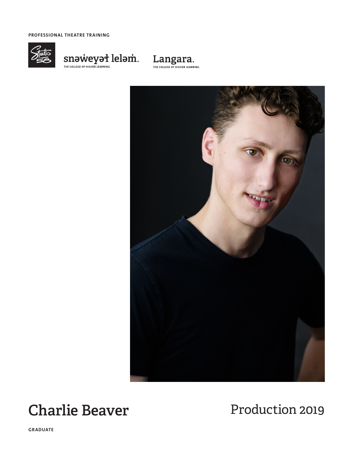**PROFESSIONAL THEATRE TRAINING**



 $\underset{\text{THE COLLEG E OF HIGHE REARNINGC}}{\text{SIDOWC}} \text{CFLBCHC} \xrightarrow{\text{HIGHE RLEARNINGC}} \text{Lel} \xrightarrow{\text{OIL G}} \text{SID} \xrightarrow{\text{OIL GFLR}} \text{SID} \xrightarrow{\text{OIL GFLR}} \text{SID} \xrightarrow{\text{OIL GFLR}} \text{SID} \xrightarrow{\text{OIL GFLR}} \text{SID} \xrightarrow{\text{OIL GFLR}} \text{SID} \xrightarrow{\text{OIL GFLR}} \text{SID} \xrightarrow{\text{OIL GFLR}} \text{SID} \xrightarrow{\text{OIL GFLR}} \text{SID} \x$ 





# **Charlie Beaver** Production 2019

**GRADUATE**